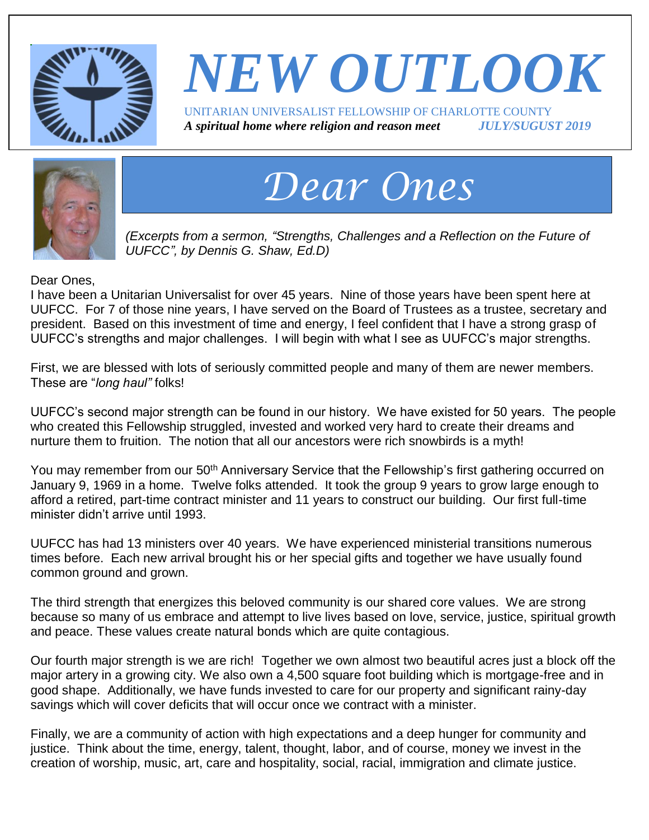

### *NEW OUTLOOK* UNITARIAN UNIVERSALIST FELLOWSHIP OF CHARLOTTE COUNTY *A spiritual home where religion and reason meet JULY/SUGUST 2019*



# *Dear Ones*

*(Excerpts from a sermon, "Strengths, Challenges and a Reflection on the Future of UUFCC", by Dennis G. Shaw, Ed.D)*

Dear Ones,

I have been a Unitarian Universalist for over 45 years. Nine of those years have been spent here at UUFCC. For 7 of those nine years, I have served on the Board of Trustees as a trustee, secretary and president. Based on this investment of time and energy, I feel confident that I have a strong grasp of UUFCC's strengths and major challenges. I will begin with what I see as UUFCC's major strengths.

First, we are blessed with lots of seriously committed people and many of them are newer members. These are "*long haul"* folks!

UUFCC's second major strength can be found in our history. We have existed for 50 years. The people who created this Fellowship struggled, invested and worked very hard to create their dreams and nurture them to fruition. The notion that all our ancestors were rich snowbirds is a myth!

You may remember from our 50<sup>th</sup> Anniversary Service that the Fellowship's first gathering occurred on January 9, 1969 in a home. Twelve folks attended. It took the group 9 years to grow large enough to afford a retired, part-time contract minister and 11 years to construct our building. Our first full-time minister didn't arrive until 1993.

UUFCC has had 13 ministers over 40 years. We have experienced ministerial transitions numerous times before. Each new arrival brought his or her special gifts and together we have usually found common ground and grown.

The third strength that energizes this beloved community is our shared core values. We are strong because so many of us embrace and attempt to live lives based on love, service, justice, spiritual growth and peace. These values create natural bonds which are quite contagious.

Our fourth major strength is we are rich!Together we own almost two beautiful acres just a block off the major artery in a growing city. We also own a 4,500 square foot building which is mortgage-free and in good shape. Additionally, we have funds invested to care for our property and significant rainy-day savings which will cover deficits that will occur once we contract with a minister.

Finally, we are a community of action with high expectations and a deep hunger for community and justice. Think about the time, energy, talent, thought, labor, and of course, money we invest in the creation of worship, music, art, care and hospitality, social, racial, immigration and climate justice.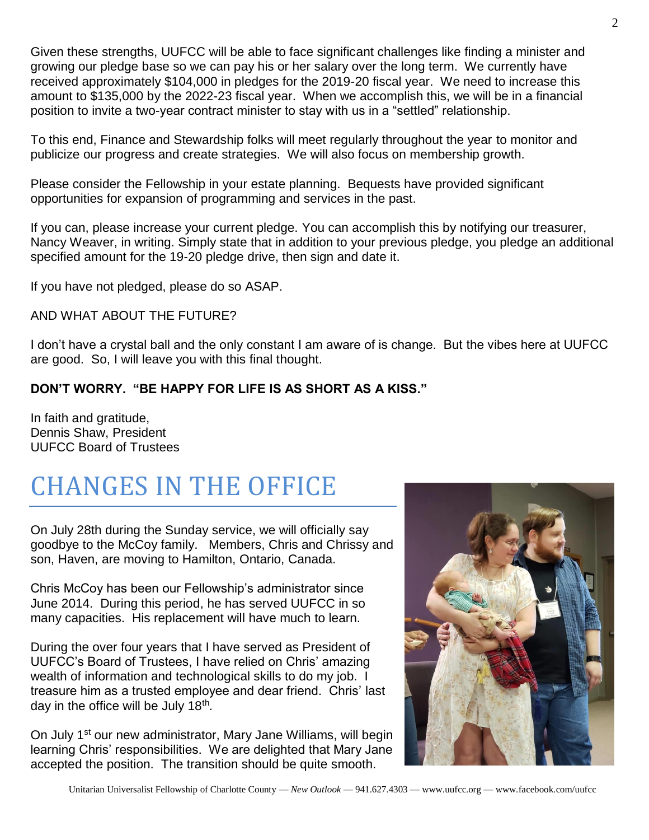Given these strengths, UUFCC will be able to face significant challenges like finding a minister and growing our pledge base so we can pay his or her salary over the long term. We currently have received approximately \$104,000 in pledges for the 2019-20 fiscal year. We need to increase this amount to \$135,000 by the 2022-23 fiscal year. When we accomplish this, we will be in a financial position to invite a two-year contract minister to stay with us in a "settled" relationship.

To this end, Finance and Stewardship folks will meet regularly throughout the year to monitor and publicize our progress and create strategies. We will also focus on membership growth.

Please consider the Fellowship in your estate planning. Bequests have provided significant opportunities for expansion of programming and services in the past.

If you can, please increase your current pledge. You can accomplish this by notifying our treasurer, Nancy Weaver, in writing. Simply state that in addition to your previous pledge, you pledge an additional specified amount for the 19-20 pledge drive, then sign and date it.

If you have not pledged, please do so ASAP.

AND WHAT ABOUT THE FUTURE?

I don't have a crystal ball and the only constant I am aware of is change. But the vibes here at UUFCC are good. So, I will leave you with this final thought.

#### **DON'T WORRY. "BE HAPPY FOR LIFE IS AS SHORT AS A KISS."**

In faith and gratitude, Dennis Shaw, President UUFCC Board of Trustees

## CHANGES IN THE OFFICE

On July 28th during the Sunday service, we will officially say goodbye to the McCoy family. Members, Chris and Chrissy and son, Haven, are moving to Hamilton, Ontario, Canada.

Chris McCoy has been our Fellowship's administrator since June 2014. During this period, he has served UUFCC in so many capacities. His replacement will have much to learn.

During the over four years that I have served as President of UUFCC's Board of Trustees, I have relied on Chris' amazing wealth of information and technological skills to do my job. I treasure him as a trusted employee and dear friend. Chris' last day in the office will be July 18<sup>th</sup>.

On July 1<sup>st</sup> our new administrator, Mary Jane Williams, will begin learning Chris' responsibilities. We are delighted that Mary Jane accepted the position. The transition should be quite smooth.

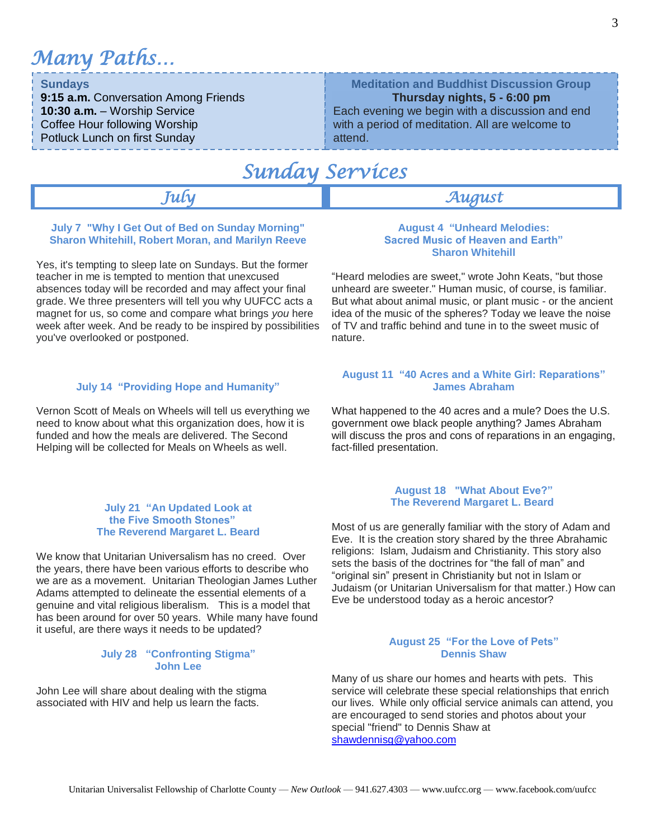*Many Paths…*

#### **Sundays**

**9:15 a.m.** Conversation Among Friends **10:30 a.m.** – Worship Service Coffee Hour following Worship Potluck Lunch on first Sunday

### **Meditation and Buddhist Discussion Group**

**Thursday nights, 5 - 6:00 pm** Each evening we begin with a discussion and end

with a period of meditation. All are welcome to attend.

### *Sunday Services*

#### *July August*

#### **July 7 "Why I Get Out of Bed on Sunday Morning" Sharon Whitehill, Robert Moran, and Marilyn Reeve**

Yes, it's tempting to sleep late on Sundays. But the former teacher in me is tempted to mention that unexcused absences today will be recorded and may affect your final grade. We three presenters will tell you why UUFCC acts a magnet for us, so come and compare what brings *you* here week after week. And be ready to be inspired by possibilities you've overlooked or postponed.

#### **July 14 "Providing Hope and Humanity"**

Vernon Scott of Meals on Wheels will tell us everything we need to know about what this organization does, how it is funded and how the meals are delivered. The Second Helping will be collected for Meals on Wheels as well.

#### **July 21 "An Updated Look at the Five Smooth Stones" The Reverend Margaret L. Beard**

We know that Unitarian Universalism has no creed. Over the years, there have been various efforts to describe who we are as a movement. Unitarian Theologian James Luther Adams attempted to delineate the essential elements of a genuine and vital religious liberalism. This is a model that has been around for over 50 years. While many have found it useful, are there ways it needs to be updated?

#### **July 28 "Confronting Stigma" John Lee**

John Lee will share about dealing with the stigma associated with HIV and help us learn the facts.

#### **August 4 "Unheard Melodies: Sacred Music of Heaven and Earth" Sharon Whitehill**

"Heard melodies are sweet," wrote John Keats, "but those unheard are sweeter." Human music, of course, is familiar. But what about animal music, or plant music - or the ancient idea of the music of the spheres? Today we leave the noise of TV and traffic behind and tune in to the sweet music of nature.

#### **August 11 "40 Acres and a White Girl: Reparations" James Abraham**

What happened to the 40 acres and a mule? Does the U.S. government owe black people anything? James Abraham will discuss the pros and cons of reparations in an engaging, fact-filled presentation.

#### **August 18 "What About Eve?" The Reverend Margaret L. Beard**

Most of us are generally familiar with the story of Adam and Eve. It is the creation story shared by the three Abrahamic religions: Islam, Judaism and Christianity. This story also sets the basis of the doctrines for "the fall of man" and "original sin" present in Christianity but not in Islam or Judaism (or Unitarian Universalism for that matter.) How can Eve be understood today as a heroic ancestor?

#### **August 25 "For the Love of Pets" Dennis Shaw**

Many of us share our homes and hearts with pets. This service will celebrate these special relationships that enrich our lives. While only official service animals can attend, you are encouraged to send stories and photos about your special "friend" to Dennis Shaw at [shawdennisg@yahoo.com](mailto:shawdennisg@yahoo.com)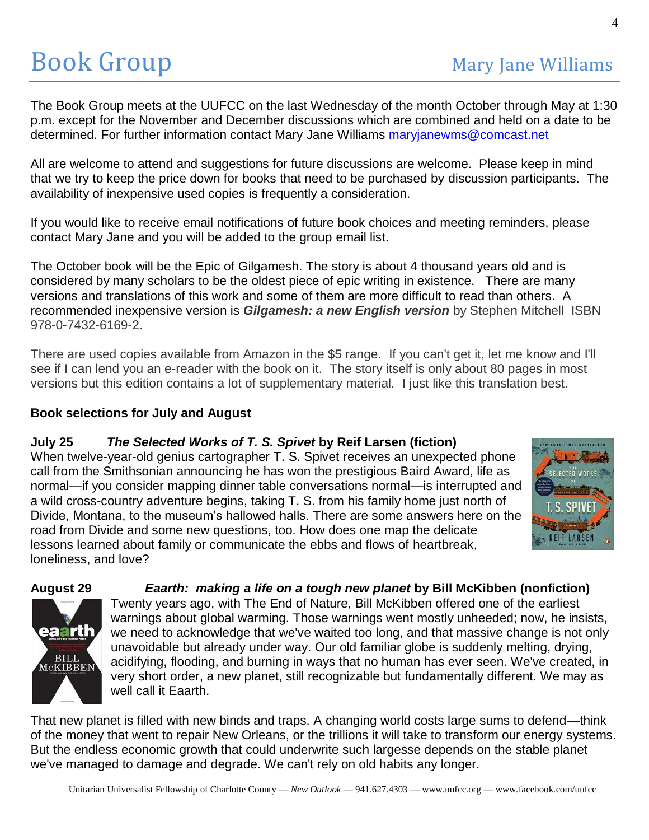The Book Group meets at the UUFCC on the last Wednesday of the month October through May at 1:30 p.m. except for the November and December discussions which are combined and held on a date to be determined. For further information contact Mary Jane Williams [maryjanewms@comcast.net](mailto:maryjanewms@comcast.net)

All are welcome to attend and suggestions for future discussions are welcome. Please keep in mind that we try to keep the price down for books that need to be purchased by discussion participants. The availability of inexpensive used copies is frequently a consideration.

If you would like to receive email notifications of future book choices and meeting reminders, please contact Mary Jane and you will be added to the group email list.

The October book will be the Epic of Gilgamesh. The story is about 4 thousand years old and is considered by many scholars to be the oldest piece of epic writing in existence. There are many versions and translations of this work and some of them are more difficult to read than others. A recommended inexpensive version is *Gilgamesh: a new English version* by Stephen Mitchell ISBN 978-0-7432-6169-2.

There are used copies available from Amazon in the \$5 range. If you can't get it, let me know and I'll see if I can lend you an e-reader with the book on it. The story itself is only about 80 pages in most versions but this edition contains a lot of supplementary material. I just like this translation best.

#### **Book selections for July and August**

#### **July 25** *The Selected Works of T. S. Spivet* **by Reif Larsen (fiction)**

When twelve-year-old genius cartographer T. S. Spivet receives an unexpected phone call from the Smithsonian announcing he has won the prestigious Baird Award, life as normal—if you consider mapping dinner table conversations normal—is interrupted and a wild cross-country adventure begins, taking T. S. from his family home just north of Divide, Montana, to the museum's hallowed halls. There are some answers here on the road from Divide and some new questions, too. How does one map the delicate lessons learned about family or communicate the ebbs and flows of heartbreak, loneliness, and love?







Twenty years ago, with The End of Nature, Bill McKibben offered one of the earliest warnings about global warming. Those warnings went mostly unheeded; now, he insists,

we need to acknowledge that we've waited too long, and that massive change is not only unavoidable but already under way. Our old familiar globe is suddenly melting, drying, acidifying, flooding, and burning in ways that no human has ever seen. We've created, in very short order, a new planet, still recognizable but fundamentally different. We may as well call it Eaarth.

That new planet is filled with new binds and traps. A changing world costs large sums to defend—think of the money that went to repair New Orleans, or the trillions it will take to transform our energy systems. But the endless economic growth that could underwrite such largesse depends on the stable planet we've managed to damage and degrade. We can't rely on old habits any longer.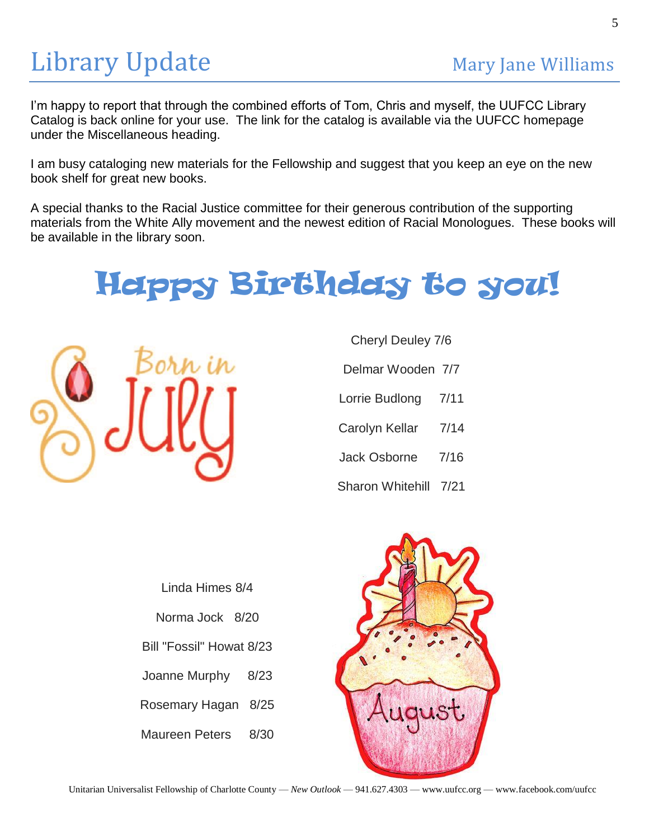## Library Update Mary Jane Williams

I'm happy to report that through the combined efforts of Tom, Chris and myself, the UUFCC Library Catalog is back online for your use. The link for the catalog is available via the UUFCC homepage under the Miscellaneous heading.

I am busy cataloging new materials for the Fellowship and suggest that you keep an eye on the new book shelf for great new books.

A special thanks to the Racial Justice committee for their generous contribution of the supporting materials from the White Ally movement and the newest edition of Racial Monologues. These books will be available in the library soon.

## Happy Birthday to you!



Cheryl Deuley 7/6

Delmar Wooden 7/7

Lorrie Budlong 7/11

Carolyn Kellar 7/14

Jack Osborne 7/16

Sharon Whitehill 7/21

Linda Himes 8/4 Norma Jock 8/20 Bill "Fossil" Howat 8/23 Joanne Murphy 8/23 Rosemary Hagan 8/25 Maureen Peters 8/30